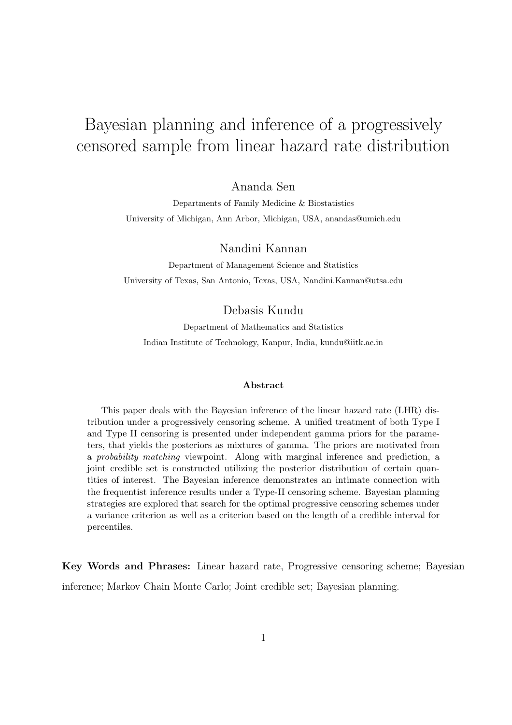# Bayesian planning and inference of a progressively censored sample from linear hazard rate distribution

Ananda Sen

Departments of Family Medicine & Biostatistics University of Michigan, Ann Arbor, Michigan, USA, anandas@umich.edu

Nandini Kannan

Department of Management Science and Statistics University of Texas, San Antonio, Texas, USA, Nandini.Kannan@utsa.edu

Debasis Kundu

Department of Mathematics and Statistics Indian Institute of Technology, Kanpur, India, kundu@iitk.ac.in

#### Abstract

This paper deals with the Bayesian inference of the linear hazard rate (LHR) distribution under a progressively censoring scheme. A unified treatment of both Type I and Type II censoring is presented under independent gamma priors for the parameters, that yields the posteriors as mixtures of gamma. The priors are motivated from a probability matching viewpoint. Along with marginal inference and prediction, a joint credible set is constructed utilizing the posterior distribution of certain quantities of interest. The Bayesian inference demonstrates an intimate connection with the frequentist inference results under a Type-II censoring scheme. Bayesian planning strategies are explored that search for the optimal progressive censoring schemes under a variance criterion as well as a criterion based on the length of a credible interval for percentiles.

Key Words and Phrases: Linear hazard rate, Progressive censoring scheme; Bayesian inference; Markov Chain Monte Carlo; Joint credible set; Bayesian planning.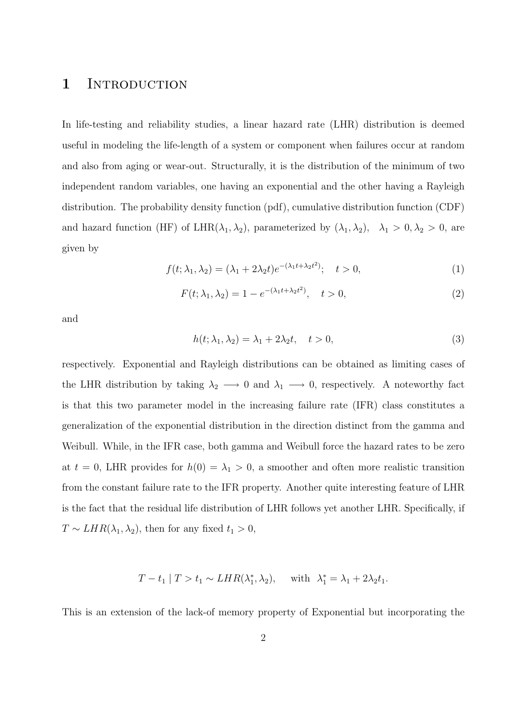### 1 INTRODUCTION

In life-testing and reliability studies, a linear hazard rate (LHR) distribution is deemed useful in modeling the life-length of a system or component when failures occur at random and also from aging or wear-out. Structurally, it is the distribution of the minimum of two independent random variables, one having an exponential and the other having a Rayleigh distribution. The probability density function (pdf), cumulative distribution function (CDF) and hazard function (HF) of LHR( $\lambda_1, \lambda_2$ ), parameterized by  $(\lambda_1, \lambda_2)$ ,  $\lambda_1 > 0, \lambda_2 > 0$ , are given by

$$
f(t; \lambda_1, \lambda_2) = (\lambda_1 + 2\lambda_2 t)e^{-(\lambda_1 t + \lambda_2 t^2)}; \quad t > 0,
$$
\n<sup>(1)</sup>

$$
F(t; \lambda_1, \lambda_2) = 1 - e^{-(\lambda_1 t + \lambda_2 t^2)}, \quad t > 0,
$$
\n(2)

and

$$
h(t; \lambda_1, \lambda_2) = \lambda_1 + 2\lambda_2 t, \quad t > 0,
$$
\n<sup>(3)</sup>

respectively. Exponential and Rayleigh distributions can be obtained as limiting cases of the LHR distribution by taking  $\lambda_2 \longrightarrow 0$  and  $\lambda_1 \longrightarrow 0$ , respectively. A noteworthy fact is that this two parameter model in the increasing failure rate (IFR) class constitutes a generalization of the exponential distribution in the direction distinct from the gamma and Weibull. While, in the IFR case, both gamma and Weibull force the hazard rates to be zero at  $t = 0$ , LHR provides for  $h(0) = \lambda_1 > 0$ , a smoother and often more realistic transition from the constant failure rate to the IFR property. Another quite interesting feature of LHR is the fact that the residual life distribution of LHR follows yet another LHR. Specifically, if  $T \sim LHR(\lambda_1, \lambda_2)$ , then for any fixed  $t_1 > 0$ ,

$$
T - t_1 | T > t_1 \sim LHR(\lambda_1^*, \lambda_2), \quad \text{with } \lambda_1^* = \lambda_1 + 2\lambda_2 t_1.
$$

This is an extension of the lack-of memory property of Exponential but incorporating the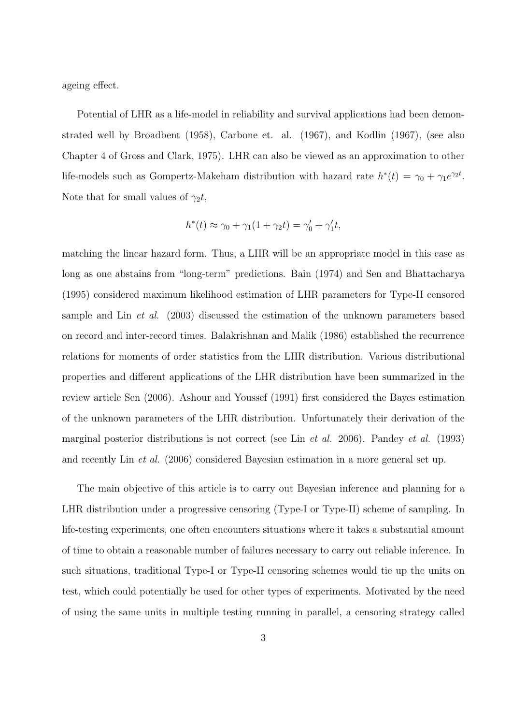ageing effect.

Potential of LHR as a life-model in reliability and survival applications had been demonstrated well by Broadbent (1958), Carbone et. al. (1967), and Kodlin (1967), (see also Chapter 4 of Gross and Clark, 1975). LHR can also be viewed as an approximation to other life-models such as Gompertz-Makeham distribution with hazard rate  $h^*(t) = \gamma_0 + \gamma_1 e^{\gamma_2 t}$ . Note that for small values of  $\gamma_2 t$ ,

$$
h^*(t) \approx \gamma_0 + \gamma_1(1 + \gamma_2 t) = \gamma'_0 + \gamma'_1 t,
$$

matching the linear hazard form. Thus, a LHR will be an appropriate model in this case as long as one abstains from "long-term" predictions. Bain (1974) and Sen and Bhattacharya (1995) considered maximum likelihood estimation of LHR parameters for Type-II censored sample and Lin et al. (2003) discussed the estimation of the unknown parameters based on record and inter-record times. Balakrishnan and Malik (1986) established the recurrence relations for moments of order statistics from the LHR distribution. Various distributional properties and different applications of the LHR distribution have been summarized in the review article Sen (2006). Ashour and Youssef (1991) first considered the Bayes estimation of the unknown parameters of the LHR distribution. Unfortunately their derivation of the marginal posterior distributions is not correct (see Lin et al. 2006). Pandey et al. (1993) and recently Lin et al. (2006) considered Bayesian estimation in a more general set up.

The main objective of this article is to carry out Bayesian inference and planning for a LHR distribution under a progressive censoring (Type-I or Type-II) scheme of sampling. In life-testing experiments, one often encounters situations where it takes a substantial amount of time to obtain a reasonable number of failures necessary to carry out reliable inference. In such situations, traditional Type-I or Type-II censoring schemes would tie up the units on test, which could potentially be used for other types of experiments. Motivated by the need of using the same units in multiple testing running in parallel, a censoring strategy called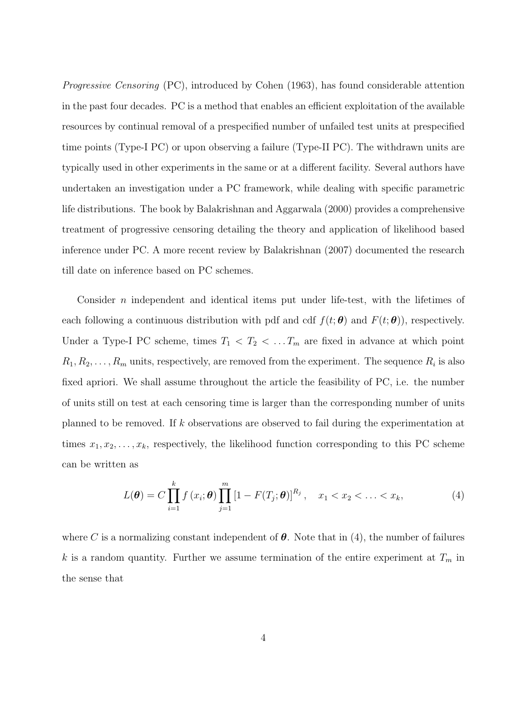Progressive Censoring (PC), introduced by Cohen (1963), has found considerable attention in the past four decades. PC is a method that enables an efficient exploitation of the available resources by continual removal of a prespecified number of unfailed test units at prespecified time points (Type-I PC) or upon observing a failure (Type-II PC). The withdrawn units are typically used in other experiments in the same or at a different facility. Several authors have undertaken an investigation under a PC framework, while dealing with specific parametric life distributions. The book by Balakrishnan and Aggarwala (2000) provides a comprehensive treatment of progressive censoring detailing the theory and application of likelihood based inference under PC. A more recent review by Balakrishnan (2007) documented the research till date on inference based on PC schemes.

Consider  $n$  independent and identical items put under life-test, with the lifetimes of each following a continuous distribution with pdf and cdf  $f(t; \theta)$  and  $F(t; \theta)$ , respectively. Under a Type-I PC scheme, times  $T_1 < T_2 < \dots T_m$  are fixed in advance at which point  $R_1, R_2, \ldots, R_m$  units, respectively, are removed from the experiment. The sequence  $R_i$  is also fixed apriori. We shall assume throughout the article the feasibility of PC, i.e. the number of units still on test at each censoring time is larger than the corresponding number of units planned to be removed. If k observations are observed to fail during the experimentation at times  $x_1, x_2, \ldots, x_k$ , respectively, the likelihood function corresponding to this PC scheme can be written as

$$
L(\boldsymbol{\theta}) = C \prod_{i=1}^{k} f(x_i; \boldsymbol{\theta}) \prod_{j=1}^{m} [1 - F(T_j; \boldsymbol{\theta})]^{R_j}, \quad x_1 < x_2 < \ldots < x_k,\tag{4}
$$

where C is a normalizing constant independent of  $\theta$ . Note that in (4), the number of failures k is a random quantity. Further we assume termination of the entire experiment at  $T_m$  in the sense that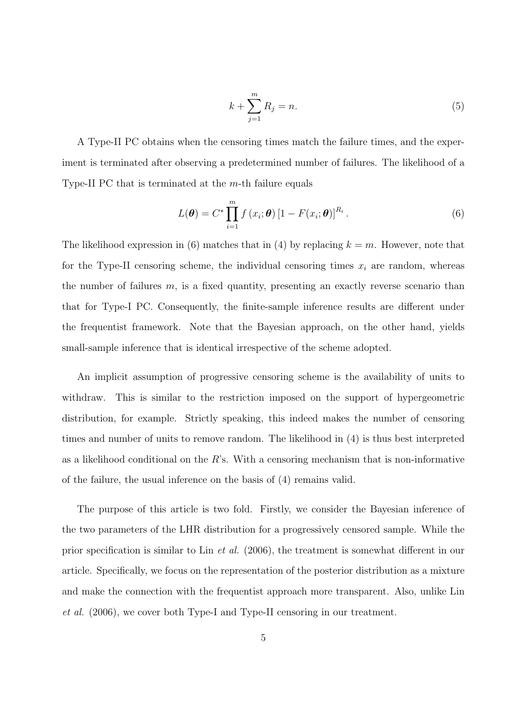$$
k + \sum_{j=1}^{m} R_j = n.
$$
 (5)

A Type-II PC obtains when the censoring times match the failure times, and the experiment is terminated after observing a predetermined number of failures. The likelihood of a Type-II PC that is terminated at the m-th failure equals

$$
L(\boldsymbol{\theta}) = C^* \prod_{i=1}^m f(x_i; \boldsymbol{\theta}) \left[1 - F(x_i; \boldsymbol{\theta})\right]^{R_i}.
$$
 (6)

The likelihood expression in (6) matches that in (4) by replacing  $k = m$ . However, note that for the Type-II censoring scheme, the individual censoring times  $x_i$  are random, whereas the number of failures  $m$ , is a fixed quantity, presenting an exactly reverse scenario than that for Type-I PC. Consequently, the finite-sample inference results are different under the frequentist framework. Note that the Bayesian approach, on the other hand, yields small-sample inference that is identical irrespective of the scheme adopted.

An implicit assumption of progressive censoring scheme is the availability of units to withdraw. This is similar to the restriction imposed on the support of hypergeometric distribution, for example. Strictly speaking, this indeed makes the number of censoring times and number of units to remove random. The likelihood in (4) is thus best interpreted as a likelihood conditional on the  $R$ 's. With a censoring mechanism that is non-informative of the failure, the usual inference on the basis of (4) remains valid.

The purpose of this article is two fold. Firstly, we consider the Bayesian inference of the two parameters of the LHR distribution for a progressively censored sample. While the prior specification is similar to Lin et al. (2006), the treatment is somewhat different in our article. Specifically, we focus on the representation of the posterior distribution as a mixture and make the connection with the frequentist approach more transparent. Also, unlike Lin et al. (2006), we cover both Type-I and Type-II censoring in our treatment.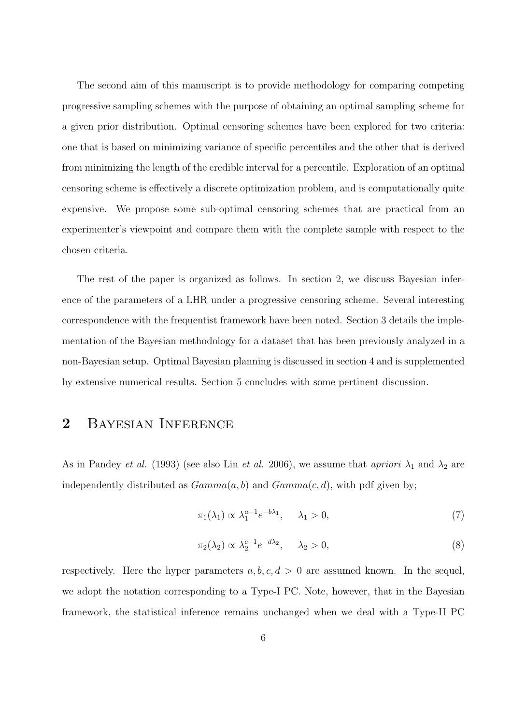The second aim of this manuscript is to provide methodology for comparing competing progressive sampling schemes with the purpose of obtaining an optimal sampling scheme for a given prior distribution. Optimal censoring schemes have been explored for two criteria: one that is based on minimizing variance of specific percentiles and the other that is derived from minimizing the length of the credible interval for a percentile. Exploration of an optimal censoring scheme is effectively a discrete optimization problem, and is computationally quite expensive. We propose some sub-optimal censoring schemes that are practical from an experimenter's viewpoint and compare them with the complete sample with respect to the chosen criteria.

The rest of the paper is organized as follows. In section 2, we discuss Bayesian inference of the parameters of a LHR under a progressive censoring scheme. Several interesting correspondence with the frequentist framework have been noted. Section 3 details the implementation of the Bayesian methodology for a dataset that has been previously analyzed in a non-Bayesian setup. Optimal Bayesian planning is discussed in section 4 and is supplemented by extensive numerical results. Section 5 concludes with some pertinent discussion.

## 2 Bayesian Inference

As in Pandey *et al.* (1993) (see also Lin *et al.* 2006), we assume that *apriori*  $\lambda_1$  and  $\lambda_2$  are independently distributed as  $Gamma(a, b)$  and  $Gamma(c, d)$ , with pdf given by;

$$
\pi_1(\lambda_1) \propto \lambda_1^{a-1} e^{-b\lambda_1}, \quad \lambda_1 > 0,\tag{7}
$$

$$
\pi_2(\lambda_2) \propto \lambda_2^{c-1} e^{-d\lambda_2}, \quad \lambda_2 > 0,
$$
\n(8)

respectively. Here the hyper parameters  $a, b, c, d > 0$  are assumed known. In the sequel, we adopt the notation corresponding to a Type-I PC. Note, however, that in the Bayesian framework, the statistical inference remains unchanged when we deal with a Type-II PC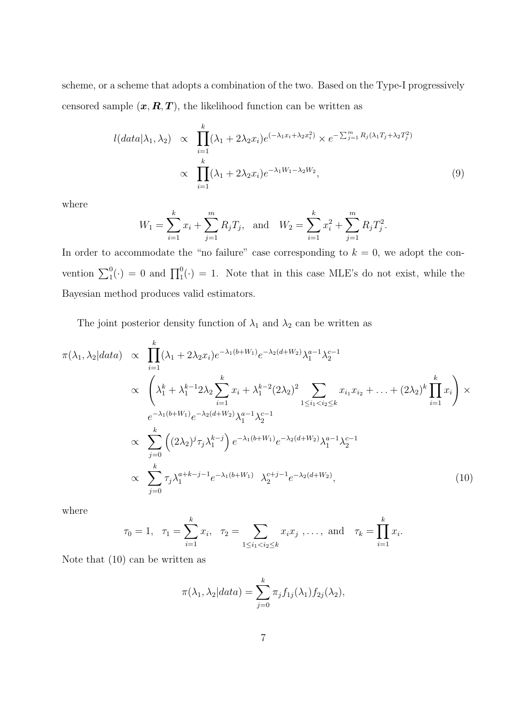scheme, or a scheme that adopts a combination of the two. Based on the Type-I progressively censored sample  $(x, R, T)$ , the likelihood function can be written as

$$
l(data|\lambda_1, \lambda_2) \propto \prod_{i=1}^k (\lambda_1 + 2\lambda_2 x_i) e^{(-\lambda_1 x_i + \lambda_2 x_i^2)} \times e^{-\sum_{j=1}^m R_j(\lambda_1 T_j + \lambda_2 T_j^2)}
$$
  
 
$$
\propto \prod_{i=1}^k (\lambda_1 + 2\lambda_2 x_i) e^{-\lambda_1 W_1 - \lambda_2 W_2}, \tag{9}
$$

where

$$
W_1 = \sum_{i=1}^k x_i + \sum_{j=1}^m R_j T_j
$$
, and 
$$
W_2 = \sum_{i=1}^k x_i^2 + \sum_{j=1}^m R_j T_j^2
$$
.

In order to accommodate the "no failure" case corresponding to  $k = 0$ , we adopt the convention  $\sum_1^0(\cdot) = 0$  and  $\prod_1^0(\cdot) = 1$ . Note that in this case MLE's do not exist, while the Bayesian method produces valid estimators.

The joint posterior density function of  $\lambda_1$  and  $\lambda_2$  can be written as

$$
\pi(\lambda_1, \lambda_2|data) \propto \prod_{i=1}^k (\lambda_1 + 2\lambda_2 x_i) e^{-\lambda_1 (b+W_1)} e^{-\lambda_2 (d+W_2)} \lambda_1^{a-1} \lambda_2^{c-1}
$$
\n
$$
\propto \left( \lambda_1^k + \lambda_1^{k-1} 2\lambda_2 \sum_{i=1}^k x_i + \lambda_1^{k-2} (2\lambda_2)^2 \sum_{1 \le i_1 < i_2 \le k} x_{i_1} x_{i_2} + \dots + (2\lambda_2)^k \prod_{i=1}^k x_i \right) \times
$$
\n
$$
e^{-\lambda_1 (b+W_1)} e^{-\lambda_2 (d+W_2)} \lambda_1^{a-1} \lambda_2^{c-1}
$$
\n
$$
\propto \sum_{j=0}^k \left( (2\lambda_2)^j \tau_j \lambda_1^{k-j} \right) e^{-\lambda_1 (b+W_1)} e^{-\lambda_2 (d+W_2)} \lambda_1^{a-1} \lambda_2^{c-1}
$$
\n
$$
\propto \sum_{j=0}^k \tau_j \lambda_1^{a+k-j-1} e^{-\lambda_1 (b+W_1)} \lambda_2^{c+j-1} e^{-\lambda_2 (d+W_2)}, \qquad (10)
$$

where

$$
\tau_0 = 1, \quad \tau_1 = \sum_{i=1}^k x_i, \quad \tau_2 = \sum_{1 \le i_1 < i_2 \le k} x_i x_j, \dots, \text{ and } \quad \tau_k = \prod_{i=1}^k x_i.
$$

Note that (10) can be written as

$$
\pi(\lambda_1, \lambda_2 | data) = \sum_{j=0}^k \pi_j f_{1j}(\lambda_1) f_{2j}(\lambda_2),
$$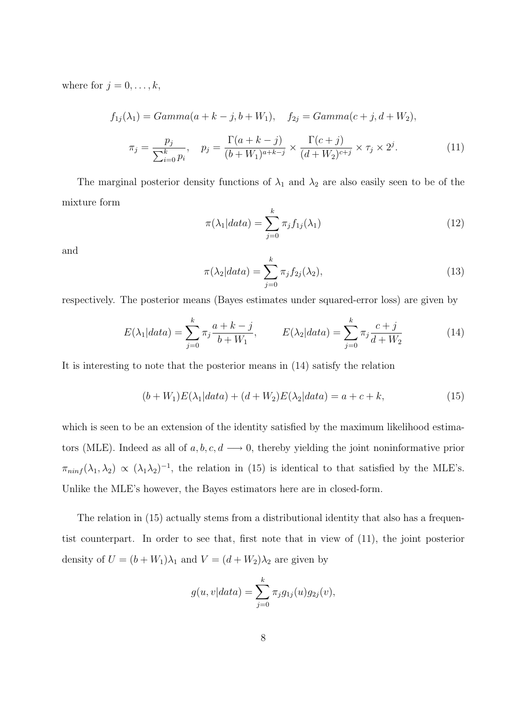where for  $j = 0, \ldots, k$ ,

$$
f_{1j}(\lambda_1) = Gamma(a + k - j, b + W_1), \quad f_{2j} = Gamma(c + j, d + W_2),
$$

$$
\pi_j = \frac{p_j}{\sum_{i=0}^k p_i}, \quad p_j = \frac{\Gamma(a + k - j)}{(b + W_1)^{a + k - j}} \times \frac{\Gamma(c + j)}{(d + W_2)^{c + j}} \times \tau_j \times 2^j.
$$
(11)

The marginal posterior density functions of  $\lambda_1$  and  $\lambda_2$  are also easily seen to be of the mixture form

$$
\pi(\lambda_1|data) = \sum_{j=0}^{k} \pi_j f_{1j}(\lambda_1)
$$
\n(12)

and

$$
\pi(\lambda_2|data) = \sum_{j=0}^{k} \pi_j f_{2j}(\lambda_2),\tag{13}
$$

respectively. The posterior means (Bayes estimates under squared-error loss) are given by

$$
E(\lambda_1|data) = \sum_{j=0}^{k} \pi_j \frac{a+k-j}{b+W_1}, \qquad E(\lambda_2|data) = \sum_{j=0}^{k} \pi_j \frac{c+j}{d+W_2}
$$
(14)

It is interesting to note that the posterior means in (14) satisfy the relation

$$
(b+W_1)E(\lambda_1|data) + (d+W_2)E(\lambda_2|data) = a+c+k,
$$
\n(15)

which is seen to be an extension of the identity satisfied by the maximum likelihood estimators (MLE). Indeed as all of  $a, b, c, d \longrightarrow 0$ , thereby yielding the joint noninformative prior  $\pi_{minf}(\lambda_1, \lambda_2) \propto (\lambda_1 \lambda_2)^{-1}$ , the relation in (15) is identical to that satisfied by the MLE's. Unlike the MLE's however, the Bayes estimators here are in closed-form.

The relation in (15) actually stems from a distributional identity that also has a frequentist counterpart. In order to see that, first note that in view of (11), the joint posterior density of  $U = (b + W_1)\lambda_1$  and  $V = (d + W_2)\lambda_2$  are given by

$$
g(u, v|data) = \sum_{j=0}^{k} \pi_j g_{1j}(u) g_{2j}(v),
$$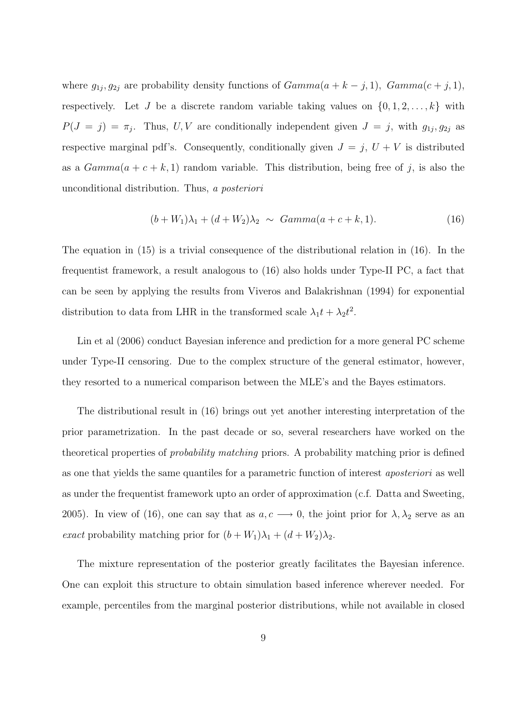where  $g_{1j}, g_{2j}$  are probability density functions of  $Gamma(a + k - j, 1)$ ,  $Gamma(c + j, 1)$ , respectively. Let J be a discrete random variable taking values on  $\{0, 1, 2, \ldots, k\}$  with  $P(J = j) = \pi_j$ . Thus, U,V are conditionally independent given  $J = j$ , with  $g_{1j}, g_{2j}$  as respective marginal pdf's. Consequently, conditionally given  $J = j$ ,  $U + V$  is distributed as a  $Gamma(a + c + k, 1)$  random variable. This distribution, being free of j, is also the unconditional distribution. Thus, a posteriori

$$
(b + W_1)\lambda_1 + (d + W_2)\lambda_2 \sim Gamma(a + c + k, 1). \tag{16}
$$

The equation in (15) is a trivial consequence of the distributional relation in (16). In the frequentist framework, a result analogous to (16) also holds under Type-II PC, a fact that can be seen by applying the results from Viveros and Balakrishnan (1994) for exponential distribution to data from LHR in the transformed scale  $\lambda_1 t + \lambda_2 t^2$ .

Lin et al (2006) conduct Bayesian inference and prediction for a more general PC scheme under Type-II censoring. Due to the complex structure of the general estimator, however, they resorted to a numerical comparison between the MLE's and the Bayes estimators.

The distributional result in (16) brings out yet another interesting interpretation of the prior parametrization. In the past decade or so, several researchers have worked on the theoretical properties of probability matching priors. A probability matching prior is defined as one that yields the same quantiles for a parametric function of interest aposteriori as well as under the frequentist framework upto an order of approximation (c.f. Datta and Sweeting, 2005). In view of (16), one can say that as  $a, c \rightarrow 0$ , the joint prior for  $\lambda, \lambda_2$  serve as an exact probability matching prior for  $(b+W_1)\lambda_1 + (d+W_2)\lambda_2$ .

The mixture representation of the posterior greatly facilitates the Bayesian inference. One can exploit this structure to obtain simulation based inference wherever needed. For example, percentiles from the marginal posterior distributions, while not available in closed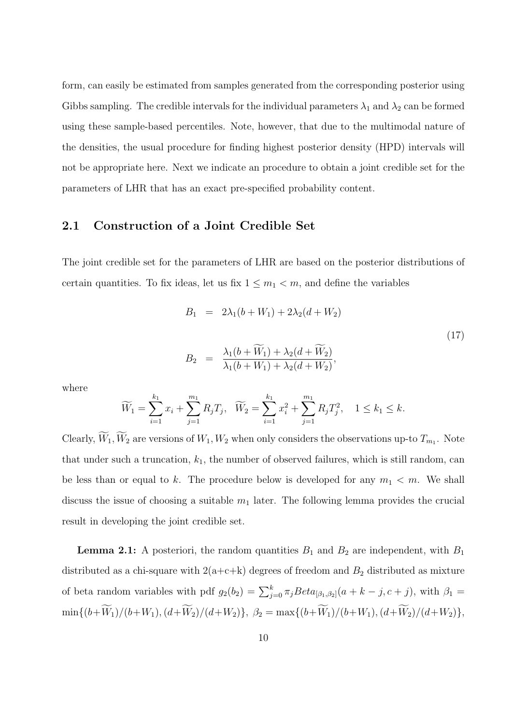form, can easily be estimated from samples generated from the corresponding posterior using Gibbs sampling. The credible intervals for the individual parameters  $\lambda_1$  and  $\lambda_2$  can be formed using these sample-based percentiles. Note, however, that due to the multimodal nature of the densities, the usual procedure for finding highest posterior density (HPD) intervals will not be appropriate here. Next we indicate an procedure to obtain a joint credible set for the parameters of LHR that has an exact pre-specified probability content.

#### 2.1 Construction of a Joint Credible Set

The joint credible set for the parameters of LHR are based on the posterior distributions of certain quantities. To fix ideas, let us fix  $1 \leq m_1 < m$ , and define the variables

$$
B_1 = 2\lambda_1(b + W_1) + 2\lambda_2(d + W_2)
$$
  
\n
$$
B_2 = \frac{\lambda_1(b + \widetilde{W}_1) + \lambda_2(d + \widetilde{W}_2)}{\lambda_1(b + W_1) + \lambda_2(d + W_2)},
$$
\n(17)

where

$$
\widetilde{W}_1 = \sum_{i=1}^{k_1} x_i + \sum_{j=1}^{m_1} R_j T_j, \quad \widetilde{W}_2 = \sum_{i=1}^{k_1} x_i^2 + \sum_{j=1}^{m_1} R_j T_j^2, \quad 1 \le k_1 \le k.
$$

Clearly,  $\widetilde{W}_1, \widetilde{W}_2$  are versions of  $W_1, W_2$  when only considers the observations up-to  $T_{m_1}$ . Note that under such a truncation,  $k_1$ , the number of observed failures, which is still random, can be less than or equal to k. The procedure below is developed for any  $m_1 < m$ . We shall discuss the issue of choosing a suitable  $m_1$  later. The following lemma provides the crucial result in developing the joint credible set.

**Lemma 2.1:** A posteriori, the random quantities  $B_1$  and  $B_2$  are independent, with  $B_1$ distributed as a chi-square with  $2(a+c+k)$  degrees of freedom and  $B_2$  distributed as mixture of beta random variables with pdf  $g_2(b_2) = \sum_{j=0}^{k} \pi_j Beta_{[\beta_1,\beta_2]}(a + k - j, c + j)$ , with  $\beta_1 =$  $\min\{(b+\widetilde W_1)/(b+W_1),(d+\widetilde W_2)/(d+W_2)\},\ \beta_2=\max\{(b+\widetilde W_1)/(b+W_1),(d+\widetilde W_2)/(d+W_2)\},$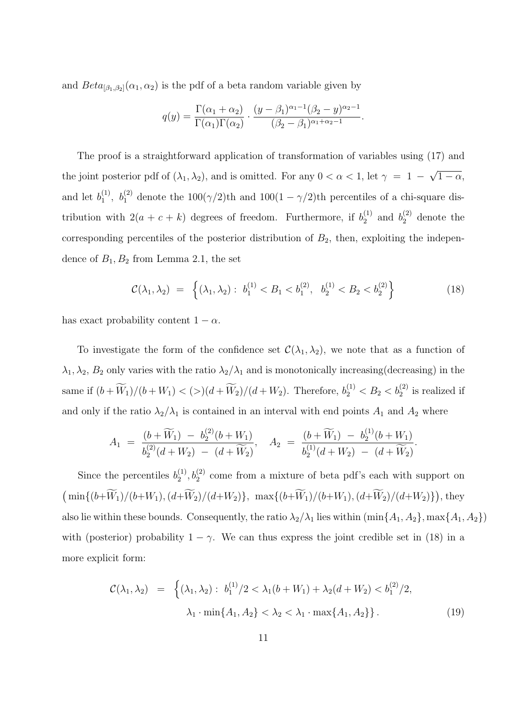and  $Beta_{[\beta_1,\beta_2]}(\alpha_1,\alpha_2)$  is the pdf of a beta random variable given by

$$
q(y) = \frac{\Gamma(\alpha_1 + \alpha_2)}{\Gamma(\alpha_1)\Gamma(\alpha_2)} \cdot \frac{(y - \beta_1)^{\alpha_1 - 1}(\beta_2 - y)^{\alpha_2 - 1}}{(\beta_2 - \beta_1)^{\alpha_1 + \alpha_2 - 1}}.
$$

The proof is a straightforward application of transformation of variables using (17) and the joint posterior pdf of  $(\lambda_1, \lambda_2)$ , and is omitted. For any  $0 < \alpha < 1$ , let  $\gamma = 1$ √  $\overline{1-\alpha}$ , and let  $b_1^{(1)}$ <sup>(1)</sup>,  $b_1^{(2)}$  denote the  $100(\gamma/2)$ th and  $100(1 - \gamma/2)$ th percentiles of a chi-square distribution with  $2(a + c + k)$  degrees of freedom. Furthermore, if  $b_2^{(1)}$  $b_2^{(1)}$  and  $b_2^{(2)}$  denote the corresponding percentiles of the posterior distribution of  $B_2$ , then, exploiting the independence of  $B_1, B_2$  from Lemma 2.1, the set

$$
\mathcal{C}(\lambda_1, \lambda_2) = \left\{ (\lambda_1, \lambda_2) : b_1^{(1)} < B_1 < b_1^{(2)}, b_2^{(1)} < B_2 < b_2^{(2)} \right\} \tag{18}
$$

has exact probability content  $1 - \alpha$ .

To investigate the form of the confidence set  $\mathcal{C}(\lambda_1, \lambda_2)$ , we note that as a function of  $\lambda_1, \lambda_2, B_2$  only varies with the ratio  $\lambda_2/\lambda_1$  and is monotonically increasing(decreasing) in the same if  $(b + \widetilde{W}_1)/(b + W_1) < (>(d + \widetilde{W}_2)/(d + W_2)$ . Therefore,  $b_2^{(1)} < B_2 < b_2^{(2)}$  is realized if and only if the ratio  $\lambda_2/\lambda_1$  is contained in an interval with end points  $A_1$  and  $A_2$  where

$$
A_1 = \frac{(b + \widetilde{W}_1) - b_2^{(2)}(b + W_1)}{b_2^{(2)}(d + W_2) - (d + \widetilde{W}_2)}, \quad A_2 = \frac{(b + \widetilde{W}_1) - b_2^{(1)}(b + W_1)}{b_2^{(1)}(d + W_2) - (d + \widetilde{W}_2)}.
$$

Since the percentiles  $b_2^{(1)}$  $\mathcal{L}_2^{(1)}$ ,  $\mathcal{b}_2^{(2)}$  come from a mixture of beta pdf's each with support on  $(\min\{(b+\widetilde{W}_1)/(b+W_1), (d+\widetilde{W}_2)/(d+W_2)\}, \max\{(b+\widetilde{W}_1)/(b+W_1), (d+\widetilde{W}_2)/(d+W_2)\})$ , they also lie within these bounds. Consequently, the ratio  $\lambda_2/\lambda_1$  lies within  $(\min\{A_1, A_2\}, \max\{A_1, A_2\})$ with (posterior) probability  $1 - \gamma$ . We can thus express the joint credible set in (18) in a more explicit form:

$$
\mathcal{C}(\lambda_1, \lambda_2) = \left\{ (\lambda_1, \lambda_2) : b_1^{(1)}/2 < \lambda_1 (b + W_1) + \lambda_2 (d + W_2) < b_1^{(2)}/2, \lambda_1 \cdot \min\{A_1, A_2\} < \lambda_2 < \lambda_1 \cdot \max\{A_1, A_2\} \right\}.
$$
\n(19)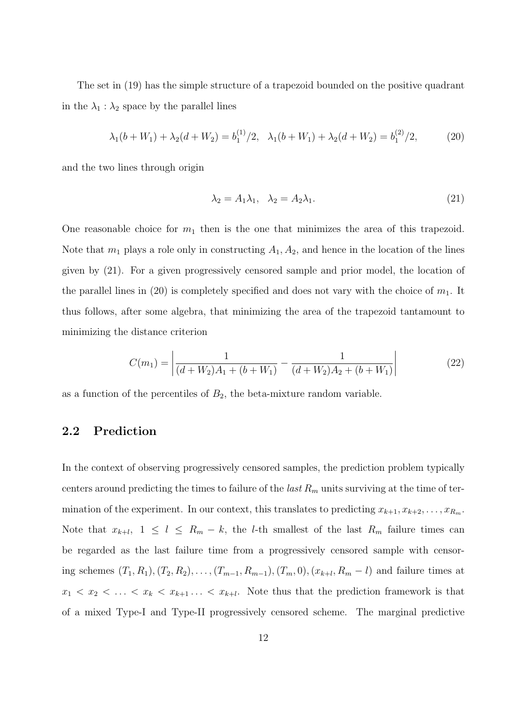The set in (19) has the simple structure of a trapezoid bounded on the positive quadrant in the  $\lambda_1 : \lambda_2$  space by the parallel lines

$$
\lambda_1(b+W_1) + \lambda_2(d+W_2) = b_1^{(1)}/2, \quad \lambda_1(b+W_1) + \lambda_2(d+W_2) = b_1^{(2)}/2,\tag{20}
$$

and the two lines through origin

$$
\lambda_2 = A_1 \lambda_1, \quad \lambda_2 = A_2 \lambda_1. \tag{21}
$$

One reasonable choice for  $m_1$  then is the one that minimizes the area of this trapezoid. Note that  $m_1$  plays a role only in constructing  $A_1, A_2$ , and hence in the location of the lines given by (21). For a given progressively censored sample and prior model, the location of the parallel lines in (20) is completely specified and does not vary with the choice of  $m_1$ . It thus follows, after some algebra, that minimizing the area of the trapezoid tantamount to minimizing the distance criterion

$$
C(m_1) = \left| \frac{1}{(d+W_2)A_1 + (b+W_1)} - \frac{1}{(d+W_2)A_2 + (b+W_1)} \right| \tag{22}
$$

as a function of the percentiles of  $B_2$ , the beta-mixture random variable.

### 2.2 Prediction

In the context of observing progressively censored samples, the prediction problem typically centers around predicting the times to failure of the *last*  $R_m$  units surviving at the time of termination of the experiment. In our context, this translates to predicting  $x_{k+1}, x_{k+2}, \ldots, x_{R_m}$ . Note that  $x_{k+l}$ ,  $1 \leq l \leq R_m - k$ , the *l*-th smallest of the last  $R_m$  failure times can be regarded as the last failure time from a progressively censored sample with censoring schemes  $(T_1, R_1), (T_2, R_2), \ldots, (T_{m-1}, R_{m-1}), (T_m, 0), (x_{k+l}, R_m - l)$  and failure times at  $x_1 < x_2 < \ldots < x_k < x_{k+1} \ldots < x_{k+l}$ . Note thus that the prediction framework is that of a mixed Type-I and Type-II progressively censored scheme. The marginal predictive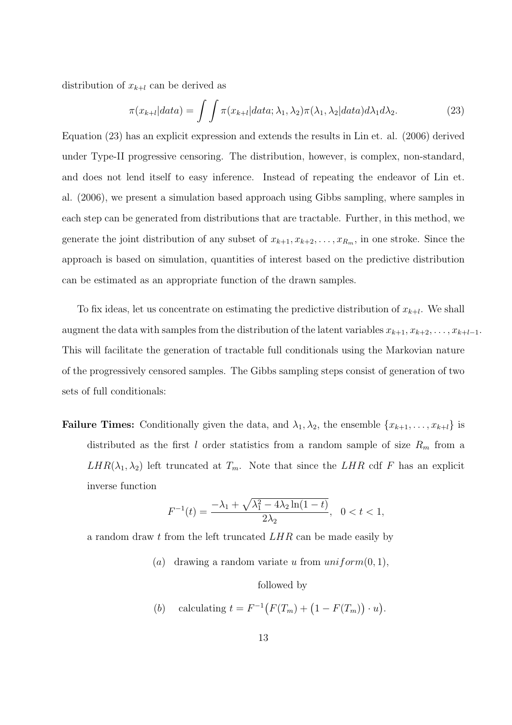distribution of  $x_{k+l}$  can be derived as

$$
\pi(x_{k+l}|data) = \int \int \pi(x_{k+l}|data; \lambda_1, \lambda_2) \pi(\lambda_1, \lambda_2|data) d\lambda_1 d\lambda_2.
$$
 (23)

Equation (23) has an explicit expression and extends the results in Lin et. al. (2006) derived under Type-II progressive censoring. The distribution, however, is complex, non-standard, and does not lend itself to easy inference. Instead of repeating the endeavor of Lin et. al. (2006), we present a simulation based approach using Gibbs sampling, where samples in each step can be generated from distributions that are tractable. Further, in this method, we generate the joint distribution of any subset of  $x_{k+1}, x_{k+2}, \ldots, x_{R_m}$ , in one stroke. Since the approach is based on simulation, quantities of interest based on the predictive distribution can be estimated as an appropriate function of the drawn samples.

To fix ideas, let us concentrate on estimating the predictive distribution of  $x_{k+l}$ . We shall augment the data with samples from the distribution of the latent variables  $x_{k+1}, x_{k+2}, \ldots, x_{k+l-1}$ . This will facilitate the generation of tractable full conditionals using the Markovian nature of the progressively censored samples. The Gibbs sampling steps consist of generation of two sets of full conditionals:

**Failure Times:** Conditionally given the data, and  $\lambda_1, \lambda_2$ , the ensemble  $\{x_{k+1}, \ldots, x_{k+l}\}$  is distributed as the first l order statistics from a random sample of size  $R_m$  from a  $LHR(\lambda_1, \lambda_2)$  left truncated at  $T_m$ . Note that since the  $LHR$  cdf F has an explicit inverse function

$$
F^{-1}(t) = \frac{-\lambda_1 + \sqrt{\lambda_1^2 - 4\lambda_2 \ln(1 - t)}}{2\lambda_2}, \quad 0 < t < 1,
$$

a random draw t from the left truncated LHR can be made easily by

(a) drawing a random variate u from  $uniform(0, 1)$ ,

followed by

(b) calculating  $t = F^{-1}(F(T_m) + (1 - F(T_m)))$ ¢  $\cdot u$ ¢ .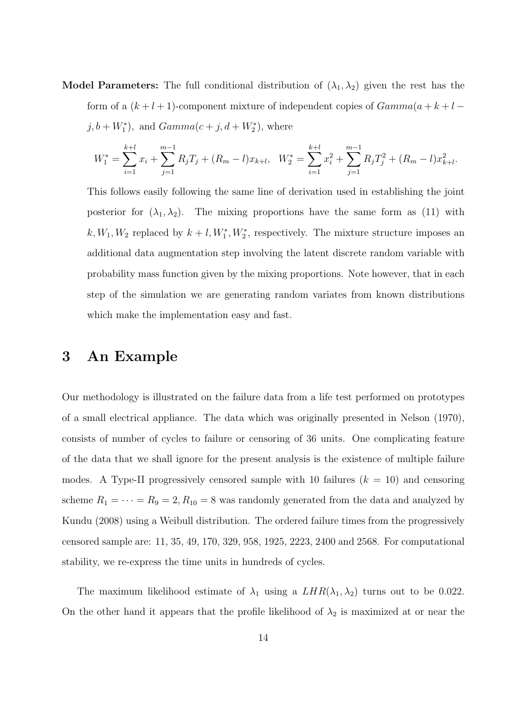**Model Parameters:** The full conditional distribution of  $(\lambda_1, \lambda_2)$  given the rest has the form of a  $(k+l+1)$ -component mixture of independent copies of  $Gamma(a+k+l$  $j, b + W_1^*$ , and  $Gamma(c + j, d + W_2^*)$ , where

$$
W_1^* = \sum_{i=1}^{k+l} x_i + \sum_{j=1}^{m-1} R_j T_j + (R_m - l) x_{k+l}, \quad W_2^* = \sum_{i=1}^{k+l} x_i^2 + \sum_{j=1}^{m-1} R_j T_j^2 + (R_m - l) x_{k+l}^2.
$$

This follows easily following the same line of derivation used in establishing the joint posterior for  $(\lambda_1, \lambda_2)$ . The mixing proportions have the same form as (11) with  $k, W_1, W_2$  replaced by  $k+l, W_1^*, W_2^*$ , respectively. The mixture structure imposes an additional data augmentation step involving the latent discrete random variable with probability mass function given by the mixing proportions. Note however, that in each step of the simulation we are generating random variates from known distributions which make the implementation easy and fast.

### 3 An Example

Our methodology is illustrated on the failure data from a life test performed on prototypes of a small electrical appliance. The data which was originally presented in Nelson (1970), consists of number of cycles to failure or censoring of 36 units. One complicating feature of the data that we shall ignore for the present analysis is the existence of multiple failure modes. A Type-II progressively censored sample with 10 failures  $(k = 10)$  and censoring scheme  $R_1 = \cdots = R_9 = 2, R_{10} = 8$  was randomly generated from the data and analyzed by Kundu (2008) using a Weibull distribution. The ordered failure times from the progressively censored sample are: 11, 35, 49, 170, 329, 958, 1925, 2223, 2400 and 2568. For computational stability, we re-express the time units in hundreds of cycles.

The maximum likelihood estimate of  $\lambda_1$  using a  $LHR(\lambda_1, \lambda_2)$  turns out to be 0.022. On the other hand it appears that the profile likelihood of  $\lambda_2$  is maximized at or near the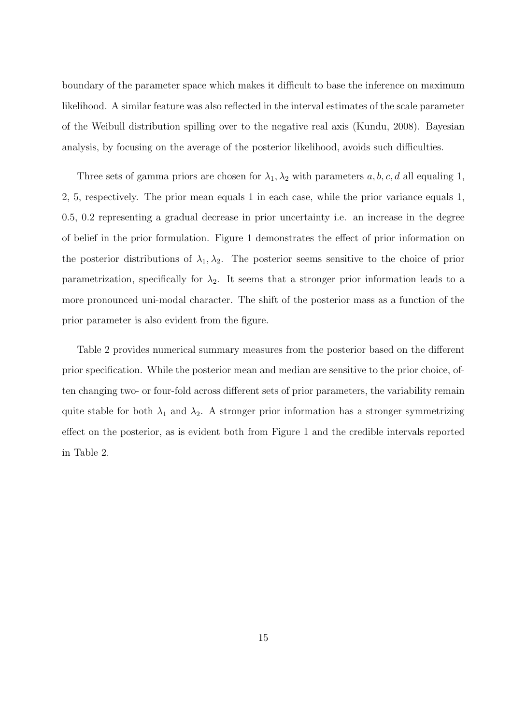boundary of the parameter space which makes it difficult to base the inference on maximum likelihood. A similar feature was also reflected in the interval estimates of the scale parameter of the Weibull distribution spilling over to the negative real axis (Kundu, 2008). Bayesian analysis, by focusing on the average of the posterior likelihood, avoids such difficulties.

Three sets of gamma priors are chosen for  $\lambda_1, \lambda_2$  with parameters a, b, c, d all equaling 1, 2, 5, respectively. The prior mean equals 1 in each case, while the prior variance equals 1, 0.5, 0.2 representing a gradual decrease in prior uncertainty i.e. an increase in the degree of belief in the prior formulation. Figure 1 demonstrates the effect of prior information on the posterior distributions of  $\lambda_1, \lambda_2$ . The posterior seems sensitive to the choice of prior parametrization, specifically for  $\lambda_2$ . It seems that a stronger prior information leads to a more pronounced uni-modal character. The shift of the posterior mass as a function of the prior parameter is also evident from the figure.

Table 2 provides numerical summary measures from the posterior based on the different prior specification. While the posterior mean and median are sensitive to the prior choice, often changing two- or four-fold across different sets of prior parameters, the variability remain quite stable for both  $\lambda_1$  and  $\lambda_2$ . A stronger prior information has a stronger symmetrizing effect on the posterior, as is evident both from Figure 1 and the credible intervals reported in Table 2.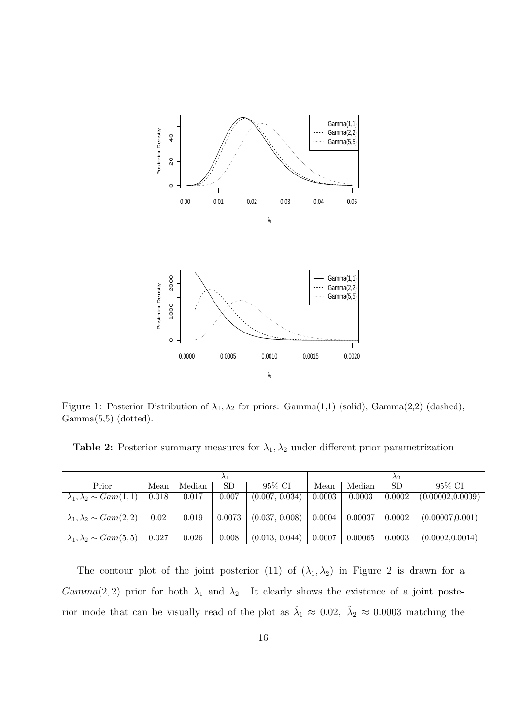

Figure 1: Posterior Distribution of  $\lambda_1, \lambda_2$  for priors: Gamma $(1,1)$  (solid), Gamma $(2,2)$  (dashed), Gamma(5,5) (dotted).

Table 2: Posterior summary measures for  $\lambda_1, \lambda_2$  under different prior parametrization

|                                       |       |        |        |                | Λ9             |         |        |                   |  |
|---------------------------------------|-------|--------|--------|----------------|----------------|---------|--------|-------------------|--|
| Prior                                 | Mean  | Median | SD     | 95% CI         | Median<br>Mean |         | SD     | 95% CI            |  |
| $\lambda_1, \lambda_2 \sim Gam(1, 1)$ | 0.018 | 0.017  | 0.007  | (0.007, 0.034) | 0.0003         | 0.0003  | 0.0002 | (0.00002, 0.0009) |  |
| $\lambda_1, \lambda_2 \sim Gam(2, 2)$ | 0.02  | 0.019  | 0.0073 | (0.037, 0.008) | 0.0004         | 0.00037 | 0.0002 | (0.00007, 0.001)  |  |
| $\lambda_1, \lambda_2 \sim Gam(5, 5)$ | 0.027 | 0.026  | 0.008  | (0.013, 0.044) | 0.0007         | 0.00065 | 0.0003 | (0.0002, 0.0014)  |  |

The contour plot of the joint posterior (11) of  $(\lambda_1, \lambda_2)$  in Figure 2 is drawn for a  $Gamma(2, 2)$  prior for both  $\lambda_1$  and  $\lambda_2$ . It clearly shows the existence of a joint posterior mode that can be visually read of the plot as  $\tilde{\lambda}_1 \approx 0.02$ ,  $\tilde{\lambda}_2 \approx 0.0003$  matching the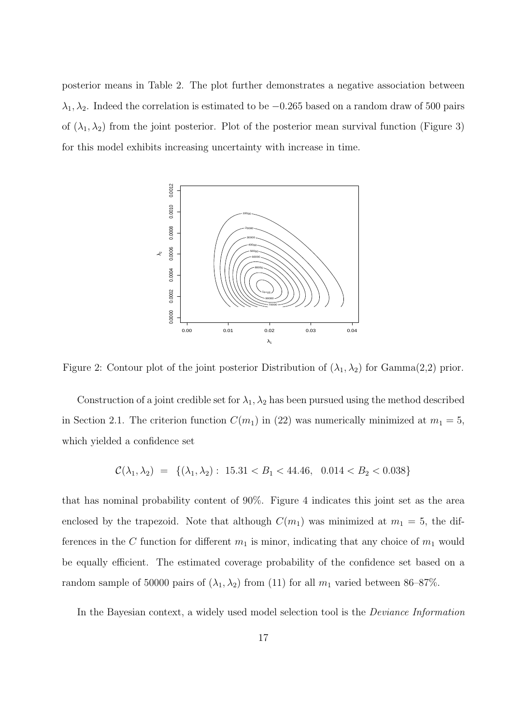posterior means in Table 2. The plot further demonstrates a negative association between  $\lambda_1, \lambda_2$ . Indeed the correlation is estimated to be  $-0.265$  based on a random draw of 500 pairs of  $(\lambda_1, \lambda_2)$  from the joint posterior. Plot of the posterior mean survival function (Figure 3) for this model exhibits increasing uncertainty with increase in time.



Figure 2: Contour plot of the joint posterior Distribution of  $(\lambda_1, \lambda_2)$  for Gamma $(2,2)$  prior.

Construction of a joint credible set for  $\lambda_1, \lambda_2$  has been pursued using the method described in Section 2.1. The criterion function  $C(m_1)$  in (22) was numerically minimized at  $m_1 = 5$ , which yielded a confidence set

$$
\mathcal{C}(\lambda_1, \lambda_2) = \{ (\lambda_1, \lambda_2) : 15.31 < B_1 < 44.46, 0.014 < B_2 < 0.038 \}
$$

that has nominal probability content of 90%. Figure 4 indicates this joint set as the area enclosed by the trapezoid. Note that although  $C(m_1)$  was minimized at  $m_1 = 5$ , the differences in the C function for different  $m_1$  is minor, indicating that any choice of  $m_1$  would be equally efficient. The estimated coverage probability of the confidence set based on a random sample of 50000 pairs of  $(\lambda_1, \lambda_2)$  from (11) for all  $m_1$  varied between 86–87%.

In the Bayesian context, a widely used model selection tool is the Deviance Information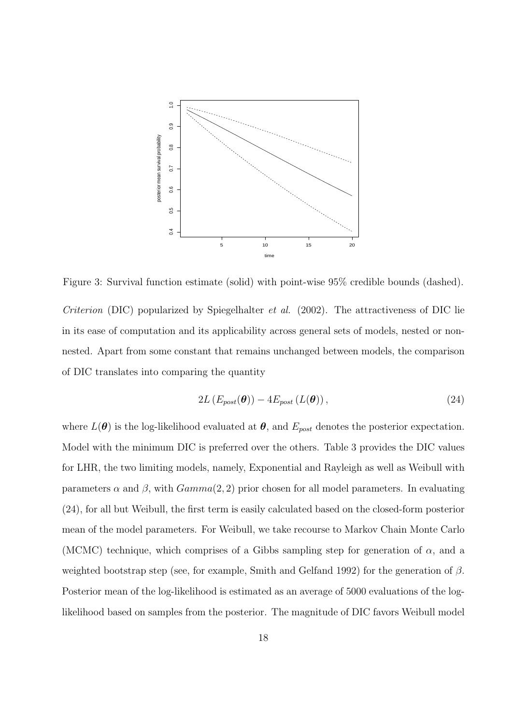

Figure 3: Survival function estimate (solid) with point-wise 95% credible bounds (dashed).

Criterion (DIC) popularized by Spiegelhalter et al. (2002). The attractiveness of DIC lie in its ease of computation and its applicability across general sets of models, nested or nonnested. Apart from some constant that remains unchanged between models, the comparison of DIC translates into comparing the quantity

$$
2L\left(E_{post}(\boldsymbol{\theta})\right) - 4E_{post}\left(L(\boldsymbol{\theta})\right),\tag{24}
$$

where  $L(\theta)$  is the log-likelihood evaluated at  $\theta$ , and  $E_{post}$  denotes the posterior expectation. Model with the minimum DIC is preferred over the others. Table 3 provides the DIC values for LHR, the two limiting models, namely, Exponential and Rayleigh as well as Weibull with parameters  $\alpha$  and  $\beta$ , with  $Gamma(2, 2)$  prior chosen for all model parameters. In evaluating (24), for all but Weibull, the first term is easily calculated based on the closed-form posterior mean of the model parameters. For Weibull, we take recourse to Markov Chain Monte Carlo (MCMC) technique, which comprises of a Gibbs sampling step for generation of  $\alpha$ , and a weighted bootstrap step (see, for example, Smith and Gelfand 1992) for the generation of  $\beta$ . Posterior mean of the log-likelihood is estimated as an average of 5000 evaluations of the loglikelihood based on samples from the posterior. The magnitude of DIC favors Weibull model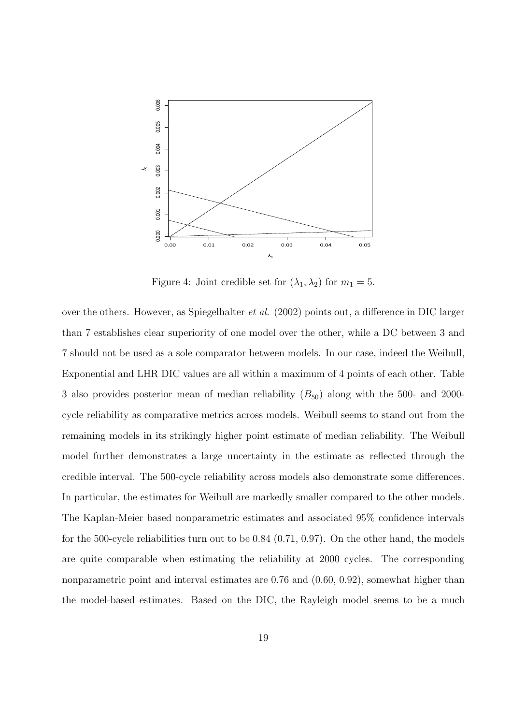

Figure 4: Joint credible set for  $(\lambda_1, \lambda_2)$  for  $m_1 = 5$ .

over the others. However, as Spiegelhalter et al. (2002) points out, a difference in DIC larger than 7 establishes clear superiority of one model over the other, while a DC between 3 and 7 should not be used as a sole comparator between models. In our case, indeed the Weibull, Exponential and LHR DIC values are all within a maximum of 4 points of each other. Table 3 also provides posterior mean of median reliability  $(B_{50})$  along with the 500- and 2000cycle reliability as comparative metrics across models. Weibull seems to stand out from the remaining models in its strikingly higher point estimate of median reliability. The Weibull model further demonstrates a large uncertainty in the estimate as reflected through the credible interval. The 500-cycle reliability across models also demonstrate some differences. In particular, the estimates for Weibull are markedly smaller compared to the other models. The Kaplan-Meier based nonparametric estimates and associated 95% confidence intervals for the 500-cycle reliabilities turn out to be 0.84 (0.71, 0.97). On the other hand, the models are quite comparable when estimating the reliability at 2000 cycles. The corresponding nonparametric point and interval estimates are 0.76 and  $(0.60, 0.92)$ , somewhat higher than the model-based estimates. Based on the DIC, the Rayleigh model seems to be a much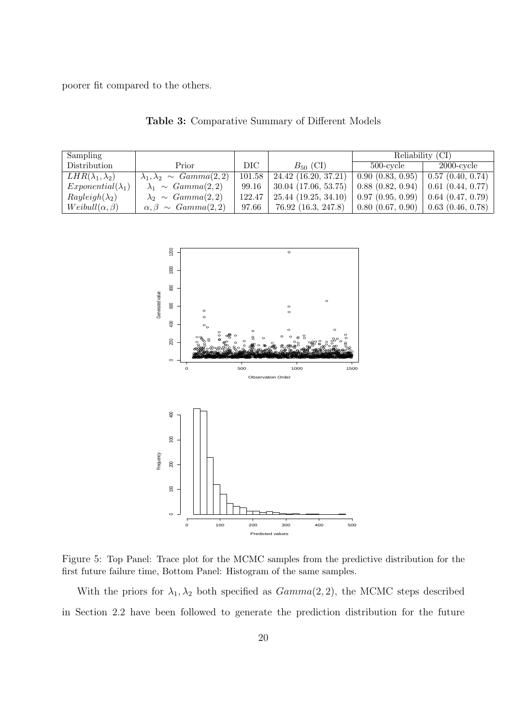poorer fit compared to the others.

| Sampling                    |                                         |        |                          | Reliability (CI) |                                 |  |  |
|-----------------------------|-----------------------------------------|--------|--------------------------|------------------|---------------------------------|--|--|
| Distribution                | Prior                                   | DIC-   | $B_{50}$ (CI)            | $500$ -cycle     | $2000$ -cycle                   |  |  |
| $LHR(\lambda_1, \lambda_2)$ | $\lambda_1, \lambda_2 \sim Gamma(2, 2)$ | 101.58 | $24.42$ (16.20, 37.21)   | 0.90(0.83, 0.95) | $\vert 0.57 \vert (0.40, 0.74)$ |  |  |
| $Exponential(\lambda_1)$    | $\lambda_1 \sim \text{Gamma}(2, 2)$     | 99.16  | $30.04$ $(17.06, 53.75)$ | 0.88(0.82, 0.94) | 0.61(0.44, 0.77)                |  |  |
| $Rayleigh(\lambda_2)$       | $\lambda_2 \sim Gamma(2,2)$             | 122.47 | 25.44(19.25, 34.10)      | 0.97(0.95, 0.99) | 0.64(0.47, 0.79)                |  |  |
| $Weibull(\alpha, \beta)$    | $\alpha, \beta \sim Gamma(2, 2)$        | 97.66  | 76.92 (16.3, 247.8)      | 0.80(0.67, 0.90) | $0.63$ $(0.46, 0.78)$           |  |  |

Table 3: Comparative Summary of Different Models



Figure 5: Top Panel: Trace plot for the MCMC samples from the predictive distribution for the first future failure time, Bottom Panel: Histogram of the same samples.

With the priors for  $\lambda_1, \lambda_2$  both specified as  $Gamma(2, 2)$ , the MCMC steps described in Section 2.2 have been followed to generate the prediction distribution for the future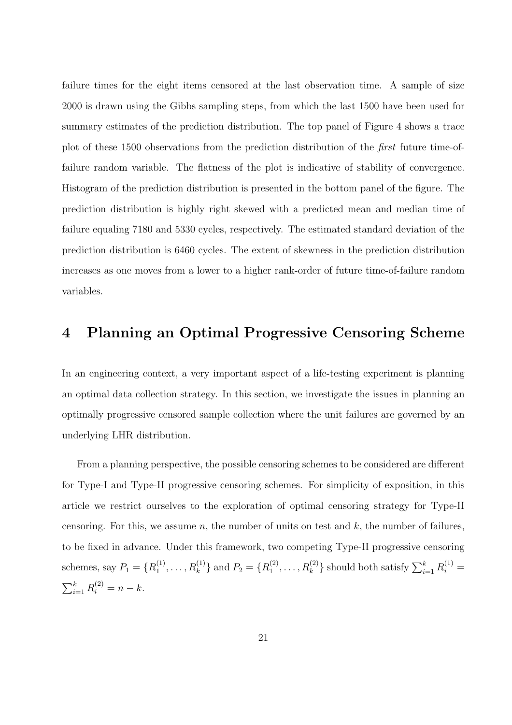failure times for the eight items censored at the last observation time. A sample of size 2000 is drawn using the Gibbs sampling steps, from which the last 1500 have been used for summary estimates of the prediction distribution. The top panel of Figure 4 shows a trace plot of these 1500 observations from the prediction distribution of the first future time-offailure random variable. The flatness of the plot is indicative of stability of convergence. Histogram of the prediction distribution is presented in the bottom panel of the figure. The prediction distribution is highly right skewed with a predicted mean and median time of failure equaling 7180 and 5330 cycles, respectively. The estimated standard deviation of the prediction distribution is 6460 cycles. The extent of skewness in the prediction distribution increases as one moves from a lower to a higher rank-order of future time-of-failure random variables.

### 4 Planning an Optimal Progressive Censoring Scheme

In an engineering context, a very important aspect of a life-testing experiment is planning an optimal data collection strategy. In this section, we investigate the issues in planning an optimally progressive censored sample collection where the unit failures are governed by an underlying LHR distribution.

From a planning perspective, the possible censoring schemes to be considered are different for Type-I and Type-II progressive censoring schemes. For simplicity of exposition, in this article we restrict ourselves to the exploration of optimal censoring strategy for Type-II censoring. For this, we assume n, the number of units on test and  $k$ , the number of failures, to be fixed in advance. Under this framework, two competing Type-II progressive censoring schemes, say  $P_1 = \{R_1^{(1)}\}$  $\{R_1^{(1)}, \ldots, R_k^{(1)}\}$  and  $P_2 = \{R_1^{(2)}\}$  $\{a_1^{(2)}, \ldots, R_k^{(2)}\}$  should both satisfy  $\sum_{i=1}^k R_i^{(1)} =$  $\sum_{k}$  $_{i=1}^{k} R_i^{(2)} = n - k.$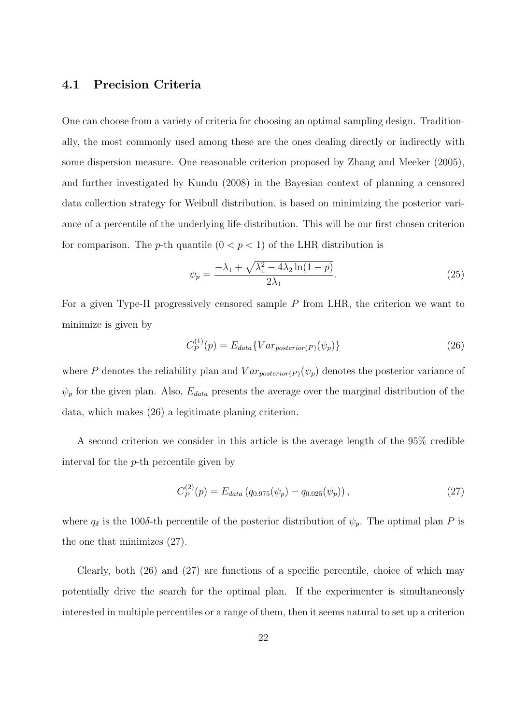### 4.1 Precision Criteria

One can choose from a variety of criteria for choosing an optimal sampling design. Traditionally, the most commonly used among these are the ones dealing directly or indirectly with some dispersion measure. One reasonable criterion proposed by Zhang and Meeker (2005), and further investigated by Kundu (2008) in the Bayesian context of planning a censored data collection strategy for Weibull distribution, is based on minimizing the posterior variance of a percentile of the underlying life-distribution. This will be our first chosen criterion for comparison. The *p*-th quantile  $(0 < p < 1)$  of the LHR distribution is

$$
\psi_p = \frac{-\lambda_1 + \sqrt{\lambda_1^2 - 4\lambda_2 \ln(1 - p)}}{2\lambda_1}.\tag{25}
$$

For a given Type-II progressively censored sample P from LHR, the criterion we want to minimize is given by

$$
C_P^{(1)}(p) = E_{data} \{Var_{posterior(P)}(\psi_p)\}
$$
\n(26)

where P denotes the reliability plan and  $Var_{posterior(P)}(\psi_p)$  denotes the posterior variance of  $\psi_p$  for the given plan. Also,  $E_{data}$  presents the average over the marginal distribution of the data, which makes (26) a legitimate planing criterion.

A second criterion we consider in this article is the average length of the 95% credible interval for the p-th percentile given by

$$
C_P^{(2)}(p) = E_{data} (q_{0.975}(\psi_p) - q_{0.025}(\psi_p)), \qquad (27)
$$

where  $q_{\delta}$  is the 100 $\delta$ -th percentile of the posterior distribution of  $\psi_p$ . The optimal plan P is the one that minimizes (27).

Clearly, both (26) and (27) are functions of a specific percentile, choice of which may potentially drive the search for the optimal plan. If the experimenter is simultaneously interested in multiple percentiles or a range of them, then it seems natural to set up a criterion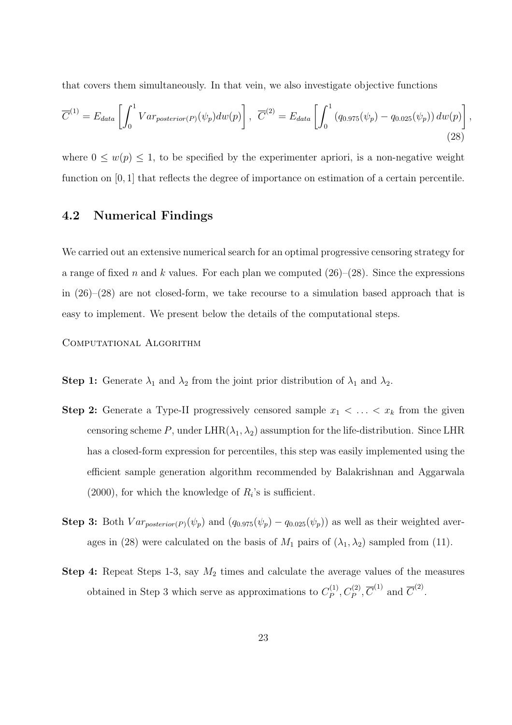that covers them simultaneously. In that vein, we also investigate objective functions

$$
\overline{C}^{(1)} = E_{data} \left[ \int_0^1 Var_{posterior(P)}(\psi_p) dw(p) \right], \overline{C}^{(2)} = E_{data} \left[ \int_0^1 (q_{0.975}(\psi_p) - q_{0.025}(\psi_p)) dw(p) \right],
$$
\n(28)

where  $0 \leq w(p) \leq 1$ , to be specified by the experimenter apriori, is a non-negative weight function on [0, 1] that reflects the degree of importance on estimation of a certain percentile.

### 4.2 Numerical Findings

We carried out an extensive numerical search for an optimal progressive censoring strategy for a range of fixed n and k values. For each plan we computed  $(26)–(28)$ . Since the expressions in  $(26)$ – $(28)$  are not closed-form, we take recourse to a simulation based approach that is easy to implement. We present below the details of the computational steps.

Computational Algorithm

- **Step 1:** Generate  $\lambda_1$  and  $\lambda_2$  from the joint prior distribution of  $\lambda_1$  and  $\lambda_2$ .
- **Step 2:** Generate a Type-II progressively censored sample  $x_1 < \ldots < x_k$  from the given censoring scheme P, under LHR( $\lambda_1, \lambda_2$ ) assumption for the life-distribution. Since LHR has a closed-form expression for percentiles, this step was easily implemented using the efficient sample generation algorithm recommended by Balakrishnan and Aggarwala  $(2000)$ , for which the knowledge of  $R_i$ 's is sufficient.
- Step 3: Both  $Var_{posterior(P)}(\psi_p)$  and  $(q_{0.975}(\psi_p) q_{0.025}(\psi_p))$  as well as their weighted averages in (28) were calculated on the basis of  $M_1$  pairs of  $(\lambda_1, \lambda_2)$  sampled from (11).
- **Step 4:** Repeat Steps 1-3, say  $M_2$  times and calculate the average values of the measures obtained in Step 3 which serve as approximations to  $C_P^{(1)}$  $C_P^{(1)}$ ,  $C_P^{(2)}$ ,  $\overline{C}^{(1)}$  and  $\overline{C}^{(2)}$ .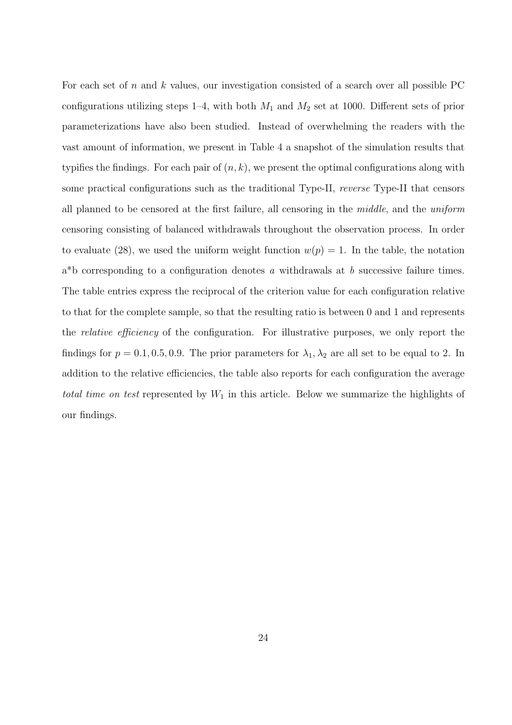For each set of  $n$  and  $k$  values, our investigation consisted of a search over all possible PC configurations utilizing steps 1–4, with both  $M_1$  and  $M_2$  set at 1000. Different sets of prior parameterizations have also been studied. Instead of overwhelming the readers with the vast amount of information, we present in Table 4 a snapshot of the simulation results that typifies the findings. For each pair of  $(n, k)$ , we present the optimal configurations along with some practical configurations such as the traditional Type-II, reverse Type-II that censors all planned to be censored at the first failure, all censoring in the middle, and the uniform censoring consisting of balanced withdrawals throughout the observation process. In order to evaluate (28), we used the uniform weight function  $w(p) = 1$ . In the table, the notation  $a^*b$  corresponding to a configuration denotes a withdrawals at b successive failure times. The table entries express the reciprocal of the criterion value for each configuration relative to that for the complete sample, so that the resulting ratio is between 0 and 1 and represents the relative efficiency of the configuration. For illustrative purposes, we only report the findings for  $p = 0.1, 0.5, 0.9$ . The prior parameters for  $\lambda_1, \lambda_2$  are all set to be equal to 2. In addition to the relative efficiencies, the table also reports for each configuration the average total time on test represented by  $W_1$  in this article. Below we summarize the highlights of our findings.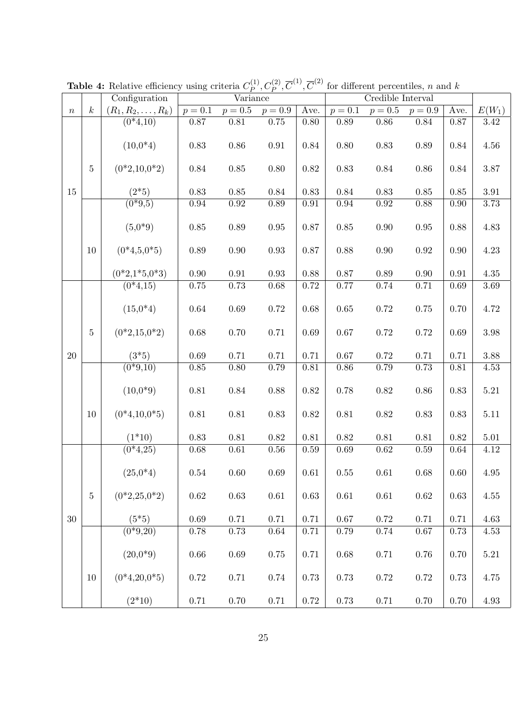|                  |                  | Configuration             | Variance   |            |                     | $\overline{\text{Credible}}$ Interval |           |            |            |            |          |
|------------------|------------------|---------------------------|------------|------------|---------------------|---------------------------------------|-----------|------------|------------|------------|----------|
| $\boldsymbol{n}$ | $\boldsymbol{k}$ | $(R_1, R_2, \ldots, R_k)$ | $p = 0.1$  |            | $p = 0.5$ $p = 0.9$ | Ave.                                  | $p = 0.1$ | $p = 0.5$  | $p = 0.9$  | Ave.       | $E(W_1)$ |
|                  |                  | $(0*4,10)$                | 0.87       | 0.81       | 0.75                | 0.80                                  | 0.89      | 0.86       | 0.84       | 0.87       | $3.42\,$ |
| 15               |                  | $(10,0*4)$                | $0.83\,$   | $0.86\,$   | $\rm 0.91$          | 0.84                                  | $0.80\,$  | 0.83       | $0.89\,$   | 0.84       | 4.56     |
|                  | $\overline{5}$   | $(0*2,10,0*2)$            | 0.84       | $0.85\,$   | 0.80                | 0.82                                  | $0.83\,$  | 0.84       | 0.86       | 0.84       | 3.87     |
|                  |                  | $(2*5)$                   | 0.83       | $0.85\,$   | 0.84                | 0.83                                  | 0.84      | 0.83       | $0.85\,$   | $0.85\,$   | 3.91     |
|                  |                  | $\overline{(0*9,5)}$      | 0.94       | $\rm 0.92$ | 0.89                | $\rm 0.91$                            | $0.94\,$  | $\rm 0.92$ | 0.88       | 0.90       | 3.73     |
|                  |                  | $(5,0^*9)$                | $0.85\,$   | $0.89\,$   | 0.95                | 0.87                                  | 0.85      | $0.90\,$   | 0.95       | 0.88       | 4.83     |
|                  | 10               | $(0*4,5,0*5)$             | 0.89       | $0.90\,$   | 0.93                | 0.87                                  | 0.88      | 0.90       | 0.92       | 0.90       | 4.23     |
|                  |                  | $(0*2,1*5,0*3)$           | 0.90       | $\rm 0.91$ | 0.93                | 0.88                                  | 0.87      | 0.89       | $0.90\,$   | $\rm 0.91$ | 4.35     |
|                  |                  | $(0*4,15)$                | $0.75\,$   | $0.73\,$   | 0.68                | 0.72                                  | 0.77      | 0.74       | 0.71       | $0.69\,$   | 3.69     |
|                  |                  |                           |            |            |                     |                                       |           |            |            |            |          |
|                  |                  | $(15,0*4)$                | 0.64       | $0.69\,$   | 0.72                | 0.68                                  | $0.65\,$  | 0.72       | 0.75       | 0.70       | 4.72     |
|                  | $\overline{5}$   | $(0*2,15,0*2)$            | 0.68       | 0.70       | 0.71                | 0.69                                  | $0.67\,$  | 0.72       | 0.72       | 0.69       | 3.98     |
| 20               |                  | $(3*5)$                   | 0.69       | 0.71       | 0.71                | 0.71                                  | $0.67\,$  | 0.72       | 0.71       | 0.71       | 3.88     |
|                  |                  | $(0*9,10)$                | 0.85       | 0.80       | 0.79                | 0.81                                  | 0.86      | 0.79       | 0.73       | 0.81       | 4.53     |
|                  |                  | $(10,0*9)$                | $0.81\,$   | $0.84\,$   | 0.88                | 0.82                                  | 0.78      | $0.82\,$   | $0.86\,$   | 0.83       | $5.21\,$ |
|                  | 10               | $(0*4,10,0*5)$            | $0.81\,$   | $0.81\,$   | 0.83                | 0.82                                  | $0.81\,$  | 0.82       | 0.83       | 0.83       | 5.11     |
|                  |                  | $(1*10)$                  | 0.83       | $0.81\,$   | $0.82\,$            | $0.81\,$                              | 0.82      | 0.81       | 0.81       | 0.82       | 5.01     |
|                  |                  | $(0*4,25)$                | 0.68       | $\,0.61\,$ | $0.56\,$            | 0.59                                  | 0.69      | 0.62       | $0.59\,$   | 0.64       | 4.12     |
| 30               |                  | $(25,0*4)$                | 0.54       | $0.60\,$   | 0.69                | 0.61                                  | $0.55\,$  | 0.61       | 0.68       | 0.60       | 4.95     |
|                  | $\bf 5$          | $(0*2, 25, 0*2)$          | $\,0.62\,$ | $\,0.63\,$ | $0.61\,$            | 0.63                                  | $0.61\,$  | $0.61\,$   | $\,0.62\,$ | 0.63       | 4.55     |
|                  |                  | $(5*5)$                   | 0.69       | 0.71       | 0.71                | 0.71                                  | $0.67\,$  | 0.72       | 0.71       | 0.71       | 4.63     |
|                  |                  | $(0*9,20)$                | $0.78\,$   | $0.73\,$   | $0.64\,$            | 0.71                                  | 0.79      | 0.74       | 0.67       | 0.73       | 4.53     |
|                  |                  | $(20.0*9)$                | $0.66\,$   | $0.69\,$   | $0.75\,$            | 0.71                                  | $0.68\,$  | 0.71       | $0.76\,$   | 0.70       | $5.21\,$ |
|                  | 10               | $(0*4,20,0*5)$            | 0.72       | 0.71       | 0.74                | 0.73                                  | 0.73      | 0.72       | 0.72       | 0.73       | 4.75     |
|                  |                  | $(2*10)$                  | $0.71\,$   | $0.70\,$   | $0.71\,$            | $0.72\,$                              | $0.73\,$  | $0.71\,$   | $0.70\,$   | $0.70\,$   | $4.93\,$ |

**Table 4:** Relative efficiency using criteria  $C_P^{(1)}$  $P_P^{(1)}, C_P^{(2)}, \overline{C}^{(1)}, \overline{C}^{(2)}$  for different percentiles, n and k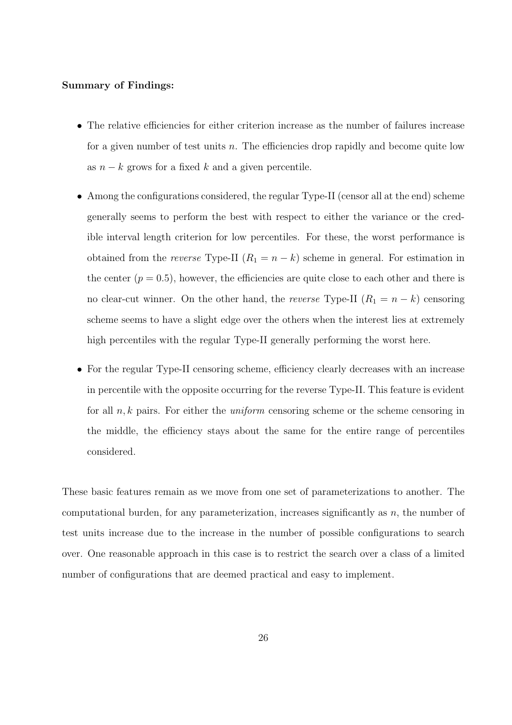#### Summary of Findings:

- The relative efficiencies for either criterion increase as the number of failures increase for a given number of test units n. The efficiencies drop rapidly and become quite low as  $n - k$  grows for a fixed k and a given percentile.
- Among the configurations considered, the regular Type-II (censor all at the end) scheme generally seems to perform the best with respect to either the variance or the credible interval length criterion for low percentiles. For these, the worst performance is obtained from the *reverse* Type-II  $(R_1 = n - k)$  scheme in general. For estimation in the center  $(p = 0.5)$ , however, the efficiencies are quite close to each other and there is no clear-cut winner. On the other hand, the *reverse* Type-II  $(R_1 = n - k)$  censoring scheme seems to have a slight edge over the others when the interest lies at extremely high percentiles with the regular Type-II generally performing the worst here.
- For the regular Type-II censoring scheme, efficiency clearly decreases with an increase in percentile with the opposite occurring for the reverse Type-II. This feature is evident for all  $n, k$  pairs. For either the *uniform* censoring scheme or the scheme censoring in the middle, the efficiency stays about the same for the entire range of percentiles considered.

These basic features remain as we move from one set of parameterizations to another. The computational burden, for any parameterization, increases significantly as  $n$ , the number of test units increase due to the increase in the number of possible configurations to search over. One reasonable approach in this case is to restrict the search over a class of a limited number of configurations that are deemed practical and easy to implement.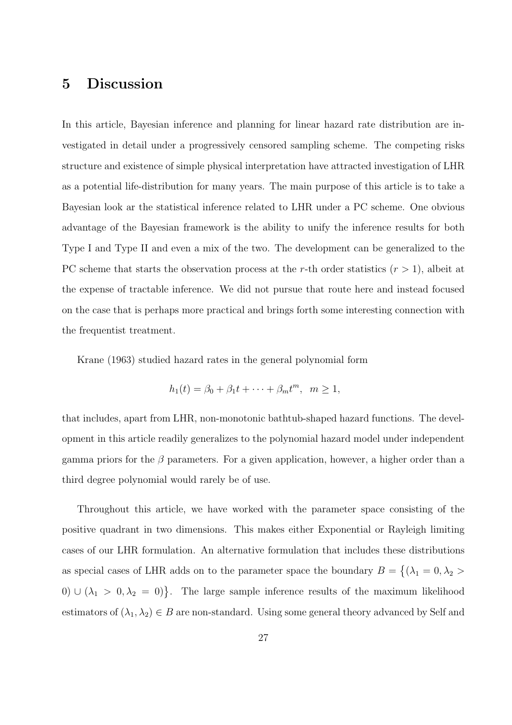# 5 Discussion

In this article, Bayesian inference and planning for linear hazard rate distribution are investigated in detail under a progressively censored sampling scheme. The competing risks structure and existence of simple physical interpretation have attracted investigation of LHR as a potential life-distribution for many years. The main purpose of this article is to take a Bayesian look ar the statistical inference related to LHR under a PC scheme. One obvious advantage of the Bayesian framework is the ability to unify the inference results for both Type I and Type II and even a mix of the two. The development can be generalized to the PC scheme that starts the observation process at the r-th order statistics  $(r > 1)$ , albeit at the expense of tractable inference. We did not pursue that route here and instead focused on the case that is perhaps more practical and brings forth some interesting connection with the frequentist treatment.

Krane (1963) studied hazard rates in the general polynomial form

$$
h_1(t) = \beta_0 + \beta_1 t + \dots + \beta_m t^m, \ \ m \ge 1,
$$

that includes, apart from LHR, non-monotonic bathtub-shaped hazard functions. The development in this article readily generalizes to the polynomial hazard model under independent gamma priors for the  $\beta$  parameters. For a given application, however, a higher order than a third degree polynomial would rarely be of use.

Throughout this article, we have worked with the parameter space consisting of the positive quadrant in two dimensions. This makes either Exponential or Rayleigh limiting cases of our LHR formulation. An alternative formulation that includes these distributions as special cases of LHR adds on to the parameter space the boundary  $B =$  $\overline{a}$  $(\lambda_1 = 0, \lambda_2 >$ 0)  $\cup$   $(\lambda_1 > 0, \lambda_2 = 0)$ . The large sample inference results of the maximum likelihood estimators of  $(\lambda_1, \lambda_2) \in B$  are non-standard. Using some general theory advanced by Self and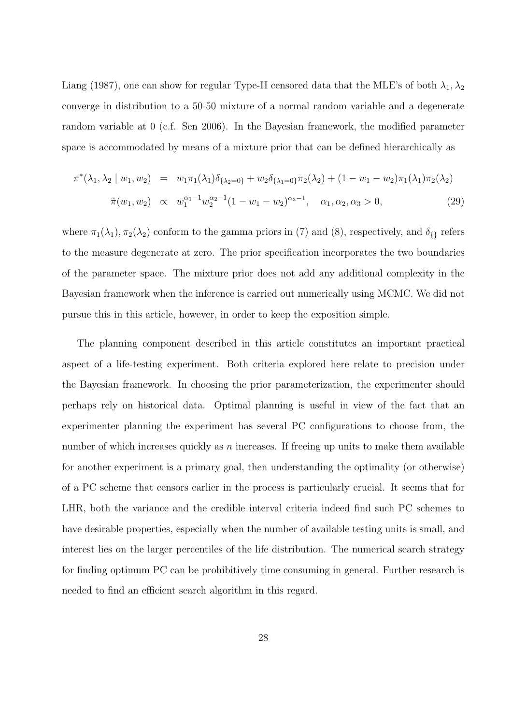Liang (1987), one can show for regular Type-II censored data that the MLE's of both  $\lambda_1, \lambda_2$ converge in distribution to a 50-50 mixture of a normal random variable and a degenerate random variable at 0 (c.f. Sen 2006). In the Bayesian framework, the modified parameter space is accommodated by means of a mixture prior that can be defined hierarchically as

$$
\pi^*(\lambda_1, \lambda_2 \mid w_1, w_2) = w_1 \pi_1(\lambda_1) \delta_{\{\lambda_2 = 0\}} + w_2 \delta_{\{\lambda_1 = 0\}} \pi_2(\lambda_2) + (1 - w_1 - w_2) \pi_1(\lambda_1) \pi_2(\lambda_2)
$$
  

$$
\tilde{\pi}(w_1, w_2) \propto w_1^{\alpha_1 - 1} w_2^{\alpha_2 - 1} (1 - w_1 - w_2)^{\alpha_3 - 1}, \quad \alpha_1, \alpha_2, \alpha_3 > 0,
$$
 (29)

where  $\pi_1(\lambda_1)$ ,  $\pi_2(\lambda_2)$  conform to the gamma priors in (7) and (8), respectively, and  $\delta_{\{\}}$  refers to the measure degenerate at zero. The prior specification incorporates the two boundaries of the parameter space. The mixture prior does not add any additional complexity in the Bayesian framework when the inference is carried out numerically using MCMC. We did not pursue this in this article, however, in order to keep the exposition simple.

The planning component described in this article constitutes an important practical aspect of a life-testing experiment. Both criteria explored here relate to precision under the Bayesian framework. In choosing the prior parameterization, the experimenter should perhaps rely on historical data. Optimal planning is useful in view of the fact that an experimenter planning the experiment has several PC configurations to choose from, the number of which increases quickly as  $n$  increases. If freeing up units to make them available for another experiment is a primary goal, then understanding the optimality (or otherwise) of a PC scheme that censors earlier in the process is particularly crucial. It seems that for LHR, both the variance and the credible interval criteria indeed find such PC schemes to have desirable properties, especially when the number of available testing units is small, and interest lies on the larger percentiles of the life distribution. The numerical search strategy for finding optimum PC can be prohibitively time consuming in general. Further research is needed to find an efficient search algorithm in this regard.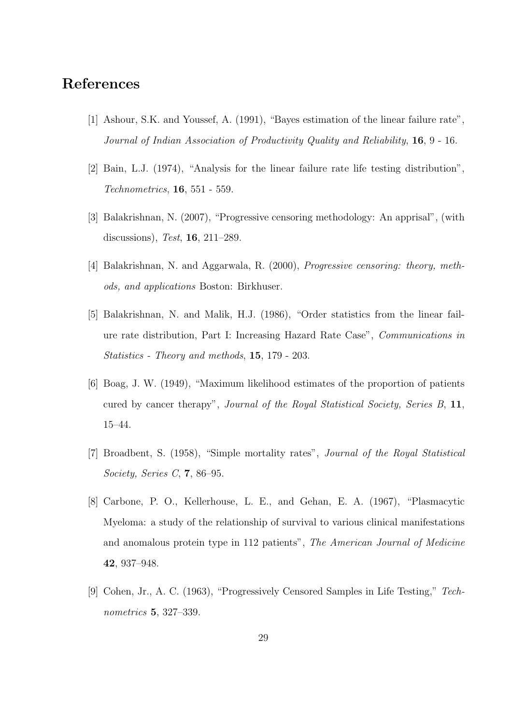# References

- [1] Ashour, S.K. and Youssef, A. (1991), "Bayes estimation of the linear failure rate", Journal of Indian Association of Productivity Quality and Reliability, 16, 9 - 16.
- [2] Bain, L.J. (1974), "Analysis for the linear failure rate life testing distribution", Technometrics, 16, 551 - 559.
- [3] Balakrishnan, N. (2007), "Progressive censoring methodology: An apprisal", (with discussions), Test, 16, 211–289.
- [4] Balakrishnan, N. and Aggarwala, R. (2000), Progressive censoring: theory, methods, and applications Boston: Birkhuser.
- [5] Balakrishnan, N. and Malik, H.J. (1986), "Order statistics from the linear failure rate distribution, Part I: Increasing Hazard Rate Case", Communications in Statistics - Theory and methods, 15, 179 - 203.
- [6] Boag, J. W. (1949), "Maximum likelihood estimates of the proportion of patients cured by cancer therapy", Journal of the Royal Statistical Society, Series B, 11, 15–44.
- [7] Broadbent, S. (1958), "Simple mortality rates", Journal of the Royal Statistical Society, Series C, 7, 86–95.
- [8] Carbone, P. O., Kellerhouse, L. E., and Gehan, E. A. (1967), "Plasmacytic Myeloma: a study of the relationship of survival to various clinical manifestations and anomalous protein type in 112 patients", The American Journal of Medicine 42, 937–948.
- [9] Cohen, Jr., A. C. (1963), "Progressively Censored Samples in Life Testing," Technometrics 5, 327–339.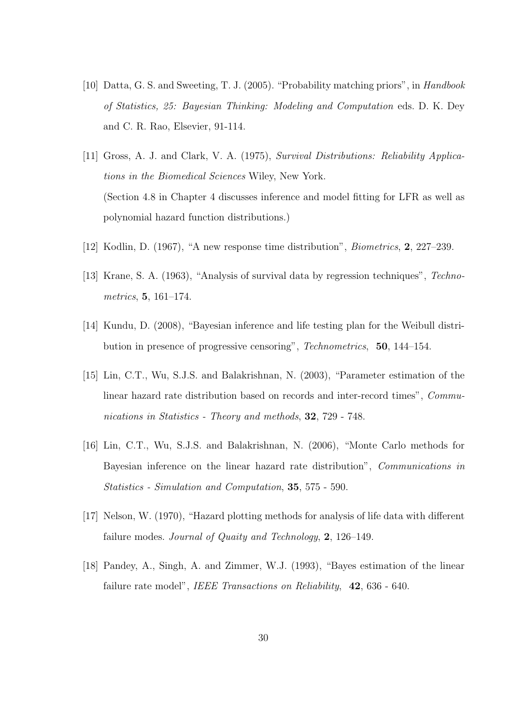- [10] Datta, G. S. and Sweeting, T. J. (2005). "Probability matching priors", in Handbook of Statistics, 25: Bayesian Thinking: Modeling and Computation eds. D. K. Dey and C. R. Rao, Elsevier, 91-114.
- [11] Gross, A. J. and Clark, V. A. (1975), Survival Distributions: Reliability Applications in the Biomedical Sciences Wiley, New York. (Section 4.8 in Chapter 4 discusses inference and model fitting for LFR as well as polynomial hazard function distributions.)
- [12] Kodlin, D. (1967), "A new response time distribution", Biometrics, 2, 227–239.
- [13] Krane, S. A. (1963), "Analysis of survival data by regression techniques", Technometrics, 5, 161–174.
- [14] Kundu, D. (2008), "Bayesian inference and life testing plan for the Weibull distribution in presence of progressive censoring", Technometrics, 50, 144–154.
- [15] Lin, C.T., Wu, S.J.S. and Balakrishnan, N. (2003), "Parameter estimation of the linear hazard rate distribution based on records and inter-record times", Communications in Statistics - Theory and methods, 32, 729 - 748.
- [16] Lin, C.T., Wu, S.J.S. and Balakrishnan, N. (2006), "Monte Carlo methods for Bayesian inference on the linear hazard rate distribution", Communications in Statistics - Simulation and Computation, 35, 575 - 590.
- [17] Nelson, W. (1970), "Hazard plotting methods for analysis of life data with different failure modes. Journal of Quaity and Technology, 2, 126–149.
- [18] Pandey, A., Singh, A. and Zimmer, W.J. (1993), "Bayes estimation of the linear failure rate model", *IEEE Transactions on Reliability*, **42**, 636 - 640.